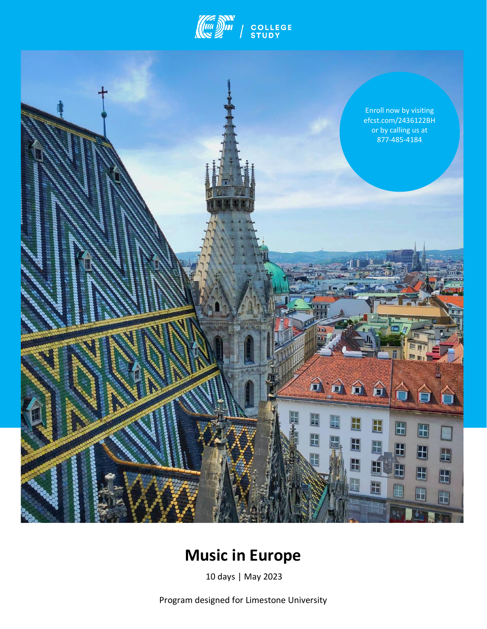



# **Music in Europe**

10 days | May 2023

Program designed for Limestone University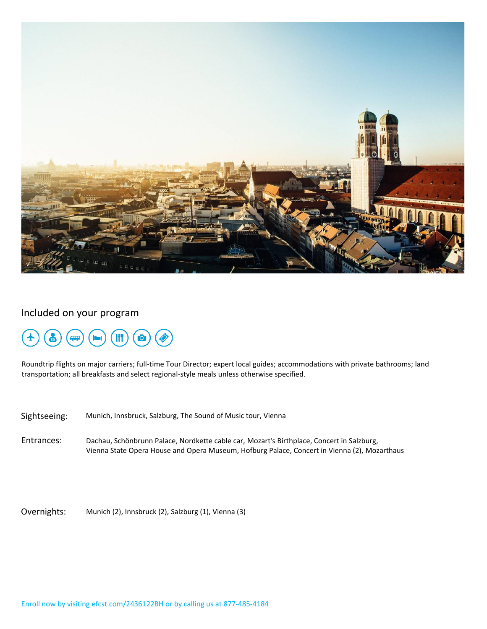

## Included on your program



Roundtrip flights on major carriers; full-time Tour Director; expert local guides; accommodations with private bathrooms; land transportation; all breakfasts and select regional-style meals unless otherwise specified.

Sightseeing: Munich, Innsbruck, Salzburg, The Sound of Music tour, Vienna

Entrances: Dachau, Schönbrunn Palace, Nordkette cable car, Mozart's Birthplace, Concert in Salzburg, Vienna State Opera House and Opera Museum, Hofburg Palace, Concert in Vienna (2), Mozarthaus

Overnights: Munich (2), Innsbruck (2), Salzburg (1), Vienna (3)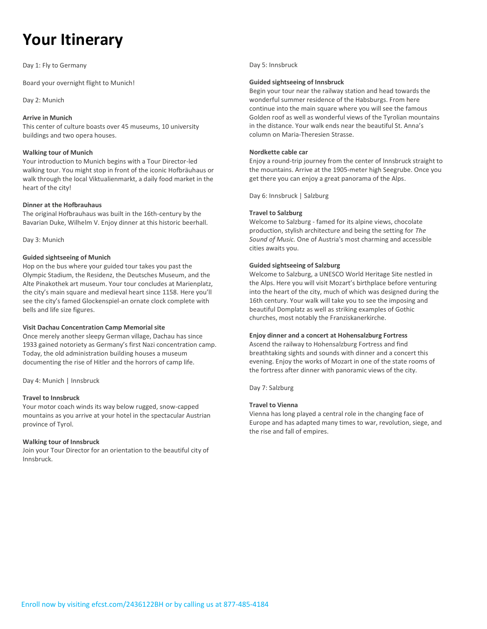# **Your Itinerary**

Day 1: Fly to Germany

Board your overnight flight to Munich!

Day 2: Munich

#### **Arrive in Munich**

This center of culture boasts over 45 museums, 10 university buildings and two opera houses.

#### **Walking tour of Munich**

Your introduction to Munich begins with a Tour Director-led walking tour. You might stop in front of the iconic Hofbräuhaus or walk through the local Viktualienmarkt, a daily food market in the heart of the city!

#### **Dinner at the Hofbrauhaus**

The original Hofbrauhaus was built in the 16th-century by the Bavarian Duke, Wilhelm V. Enjoy dinner at this historic beerhall.

Day 3: Munich

#### **Guided sightseeing of Munich**

Hop on the bus where your guided tour takes you past the Olympic Stadium, the Residenz, the Deutsches Museum, and the Alte Pinakothek art museum. Your tour concludes at Marienplatz, the city's main square and medieval heart since 1158. Here you'll see the city's famed Glockenspiel-an ornate clock complete with bells and life size figures.

#### **Visit Dachau Concentration Camp Memorial site**

Once merely another sleepy German village, Dachau has since 1933 gained notoriety as Germany's first Nazi concentration camp. Today, the old administration building houses a museum documenting the rise of Hitler and the horrors of camp life.

Day 4: Munich | Innsbruck

#### **Travel to Innsbruck**

Your motor coach winds its way below rugged, snow-capped mountains as you arrive at your hotel in the spectacular Austrian province of Tyrol.

#### **Walking tour of Innsbruck**

Join your Tour Director for an orientation to the beautiful city of Innsbruck.

#### Day 5: Innsbruck

#### **Guided sightseeing of Innsbruck**

Begin your tour near the railway station and head towards the wonderful summer residence of the Habsburgs. From here continue into the main square where you will see the famous Golden roof as well as wonderful views of the Tyrolian mountains in the distance. Your walk ends near the beautiful St. Anna's column on Maria-Theresien Strasse.

#### **Nordkette cable car**

Enjoy a round-trip journey from the center of Innsbruck straight to the mountains. Arrive at the 1905-meter high Seegrube. Once you get there you can enjoy a great panorama of the Alps.

Day 6: Innsbruck | Salzburg

#### **Travel to Salzburg**

Welcome to Salzburg - famed for its alpine views, chocolate production, stylish architecture and being the setting for *The Sound of Music.* One of Austria's most charming and accessible cities awaits you.

#### **Guided sightseeing of Salzburg**

Welcome to Salzburg, a UNESCO World Heritage Site nestled in the Alps. Here you will visit Mozart's birthplace before venturing into the heart of the city, much of which was designed during the 16th century. Your walk will take you to see the imposing and beautiful Domplatz as well as striking examples of Gothic churches, most notably the Franziskanerkirche.

#### **Enjoy dinner and a concert at Hohensalzburg Fortress**

Ascend the railway to Hohensalzburg Fortress and find breathtaking sights and sounds with dinner and a concert this evening. Enjoy the works of Mozart in one of the state rooms of the fortress after dinner with panoramic views of the city.

Day 7: Salzburg

#### **Travel to Vienna**

Vienna has long played a central role in the changing face of Europe and has adapted many times to war, revolution, siege, and the rise and fall of empires.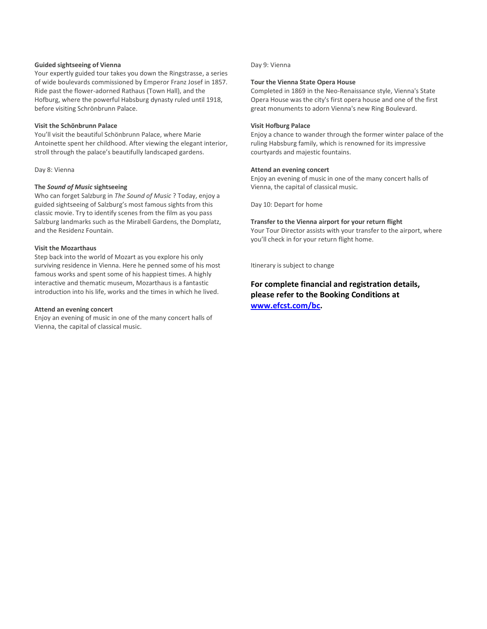#### **Guided sightseeing of Vienna**

Your expertly guided tour takes you down the Ringstrasse, a series of wide boulevards commissioned by Emperor Franz Josef in 1857. Ride past the flower-adorned Rathaus (Town Hall), and the Hofburg, where the powerful Habsburg dynasty ruled until 1918, before visiting Schrönbrunn Palace.

#### **Visit the Schönbrunn Palace**

You'll visit the beautiful Schönbrunn Palace, where Marie Antoinette spent her childhood. After viewing the elegant interior, stroll through the palace's beautifully landscaped gardens.

#### Day 8: Vienna

#### **The** *Sound of Music* **sightseeing**

Who can forget Salzburg in *The Sound of Music* ? Today, enjoy a guided sightseeing of Salzburg's most famous sights from this classic movie. Try to identify scenes from the film as you pass Salzburg landmarks such as the Mirabell Gardens, the Domplatz, and the Residenz Fountain.

#### **Visit the Mozarthaus**

Step back into the world of Mozart as you explore his only surviving residence in Vienna. Here he penned some of his most famous works and spent some of his happiest times. A highly interactive and thematic museum, Mozarthaus is a fantastic introduction into his life, works and the times in which he lived.

#### **Attend an evening concert**

Enjoy an evening of music in one of the many concert halls of Vienna, the capital of classical music.

#### Day 9: Vienna

#### **Tour the Vienna State Opera House**

Completed in 1869 in the Neo-Renaissance style, Vienna's State Opera House was the city's first opera house and one of the first great monuments to adorn Vienna's new Ring Boulevard.

#### **Visit Hofburg Palace**

Enjoy a chance to wander through the former winter palace of the ruling Habsburg family, which is renowned for its impressive courtyards and majestic fountains.

#### **Attend an evening concert**

Enjoy an evening of music in one of the many concert halls of Vienna, the capital of classical music.

Day 10: Depart for home

#### **Transfer to the Vienna airport for your return flight**

Your Tour Director assists with your transfer to the airport, where you'll check in for your return flight home.

Itinerary is subject to change

**For complete financial and registration details, please refer to the Booking Conditions at [www.efcst.com/bc.](http://www.efcst.com/bc)**